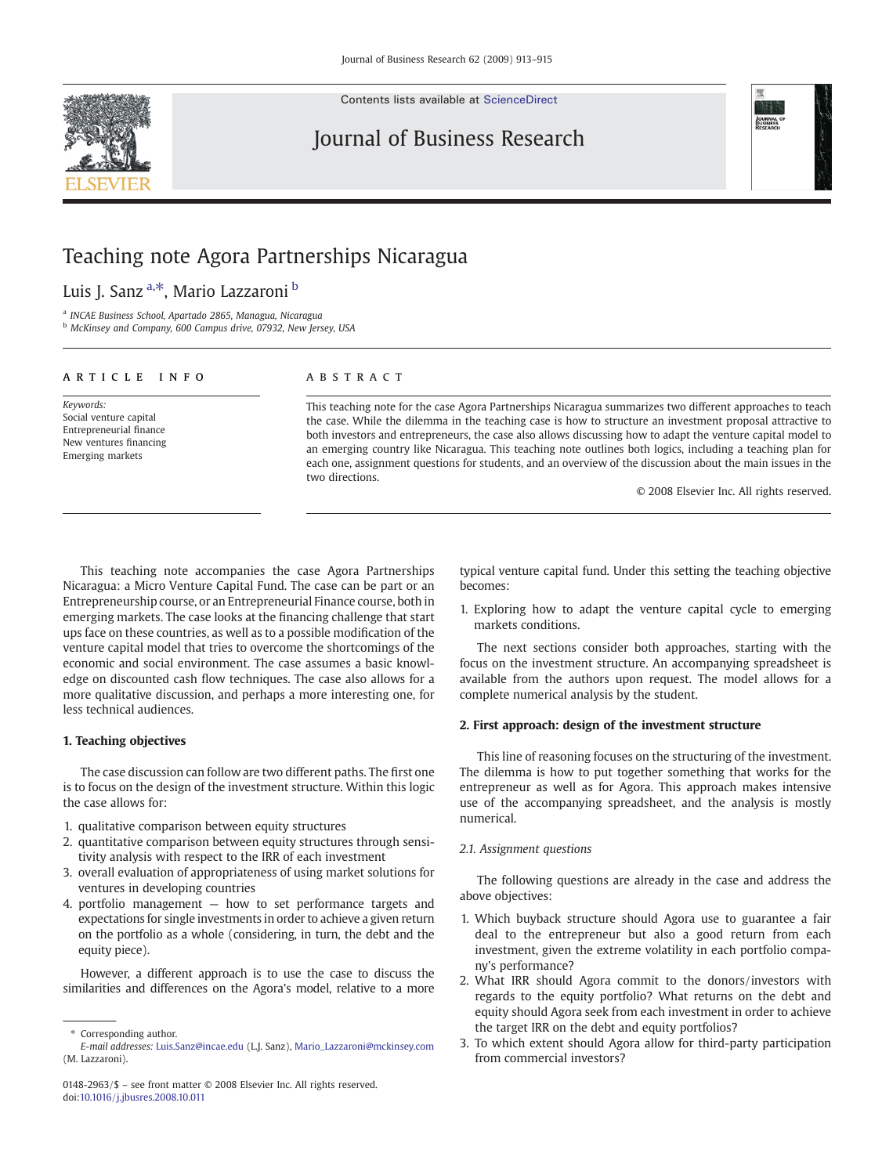Contents lists available at [ScienceDirect](http://www.sciencedirect.com/science/journal/01482963)

# Journal of Business Research

# Teaching note Agora Partnerships Nicaragua

Luis J. Sanz <sup>a,\*</sup>, Mario Lazzaroni <sup>b</sup>

<sup>a</sup> INCAE Business School, Apartado 2865, Managua, Nicaragua

<sup>b</sup> McKinsey and Company, 600 Campus drive, 07932, New Jersey, USA

## article info abstract

Keywords: Social venture capital Entrepreneurial finance New ventures financing Emerging markets

This teaching note for the case Agora Partnerships Nicaragua summarizes two different approaches to teach the case. While the dilemma in the teaching case is how to structure an investment proposal attractive to both investors and entrepreneurs, the case also allows discussing how to adapt the venture capital model to an emerging country like Nicaragua. This teaching note outlines both logics, including a teaching plan for each one, assignment questions for students, and an overview of the discussion about the main issues in the two directions.

© 2008 Elsevier Inc. All rights reserved.

This teaching note accompanies the case Agora Partnerships Nicaragua: a Micro Venture Capital Fund. The case can be part or an Entrepreneurship course, or an Entrepreneurial Finance course, both in emerging markets. The case looks at the financing challenge that start ups face on these countries, as well as to a possible modification of the venture capital model that tries to overcome the shortcomings of the economic and social environment. The case assumes a basic knowledge on discounted cash flow techniques. The case also allows for a more qualitative discussion, and perhaps a more interesting one, for less technical audiences.

## 1. Teaching objectives

The case discussion can follow are two different paths. The first one is to focus on the design of the investment structure. Within this logic the case allows for:

- 1. qualitative comparison between equity structures
- 2. quantitative comparison between equity structures through sensitivity analysis with respect to the IRR of each investment
- 3. overall evaluation of appropriateness of using market solutions for ventures in developing countries
- 4. portfolio management how to set performance targets and expectations for single investments in order to achieve a given return on the portfolio as a whole (considering, in turn, the debt and the equity piece).

However, a different approach is to use the case to discuss the similarities and differences on the Agora's model, relative to a more

typical venture capital fund. Under this setting the teaching objective becomes:

1. Exploring how to adapt the venture capital cycle to emerging markets conditions.

The next sections consider both approaches, starting with the focus on the investment structure. An accompanying spreadsheet is available from the authors upon request. The model allows for a complete numerical analysis by the student.

#### 2. First approach: design of the investment structure

This line of reasoning focuses on the structuring of the investment. The dilemma is how to put together something that works for the entrepreneur as well as for Agora. This approach makes intensive use of the accompanying spreadsheet, and the analysis is mostly numerical.

#### 2.1. Assignment questions

The following questions are already in the case and address the above objectives:

- 1. Which buyback structure should Agora use to guarantee a fair deal to the entrepreneur but also a good return from each investment, given the extreme volatility in each portfolio company's performance?
- 2. What IRR should Agora commit to the donors/investors with regards to the equity portfolio? What returns on the debt and equity should Agora seek from each investment in order to achieve the target IRR on the debt and equity portfolios?
- 3. To which extent should Agora allow for third-party participation from commercial investors?



Corresponding author.

E-mail addresses: [Luis.Sanz@incae.edu](mailto:Luis.Sanz@incae.edu) (L.J. Sanz), [Mario\\_Lazzaroni@mckinsey.com](mailto:Mario_Lazzaroni@mckinsey.com) (M. Lazzaroni).

<sup>0148-2963/\$</sup> – see front matter © 2008 Elsevier Inc. All rights reserved. doi:[10.1016/j.jbusres.2008.10.011](http://dx.doi.org/10.1016/j.jbusres.2008.10.011)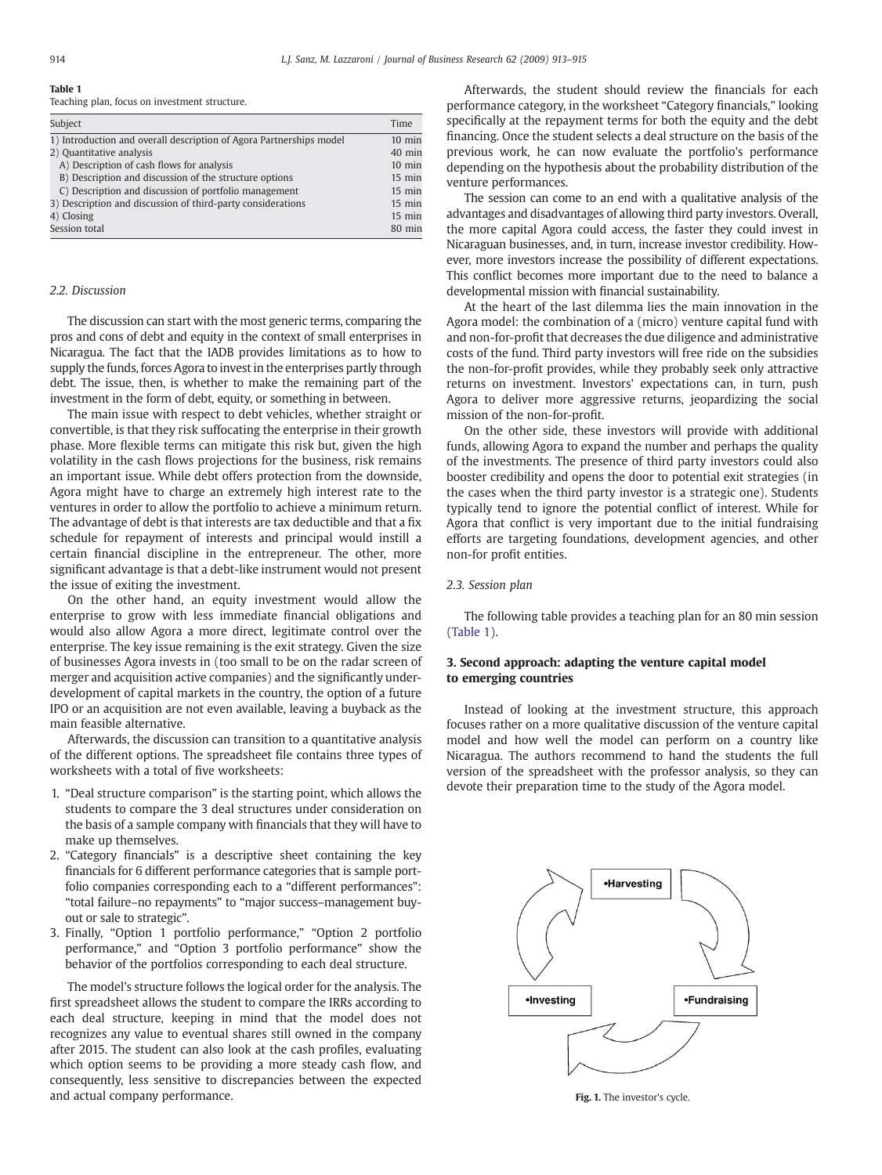#### Table 1

Teaching plan, focus on investment structure.

| Subject                                                             | Time     |
|---------------------------------------------------------------------|----------|
| 1) Introduction and overall description of Agora Partnerships model | $10$ min |
| 2) Quantitative analysis                                            | 40 min   |
| A) Description of cash flows for analysis                           | $10$ min |
| B) Description and discussion of the structure options              | $15$ min |
| C) Description and discussion of portfolio management               | $15$ min |
| 3) Description and discussion of third-party considerations         | $15$ min |
| 4) Closing                                                          | $15$ min |
| Session total                                                       | $80$ min |

### 2.2. Discussion

The discussion can start with the most generic terms, comparing the pros and cons of debt and equity in the context of small enterprises in Nicaragua. The fact that the IADB provides limitations as to how to supply the funds, forces Agora to invest in the enterprises partly through debt. The issue, then, is whether to make the remaining part of the investment in the form of debt, equity, or something in between.

The main issue with respect to debt vehicles, whether straight or convertible, is that they risk suffocating the enterprise in their growth phase. More flexible terms can mitigate this risk but, given the high volatility in the cash flows projections for the business, risk remains an important issue. While debt offers protection from the downside, Agora might have to charge an extremely high interest rate to the ventures in order to allow the portfolio to achieve a minimum return. The advantage of debt is that interests are tax deductible and that a fix schedule for repayment of interests and principal would instill a certain financial discipline in the entrepreneur. The other, more significant advantage is that a debt-like instrument would not present the issue of exiting the investment.

On the other hand, an equity investment would allow the enterprise to grow with less immediate financial obligations and would also allow Agora a more direct, legitimate control over the enterprise. The key issue remaining is the exit strategy. Given the size of businesses Agora invests in (too small to be on the radar screen of merger and acquisition active companies) and the significantly underdevelopment of capital markets in the country, the option of a future IPO or an acquisition are not even available, leaving a buyback as the main feasible alternative.

Afterwards, the discussion can transition to a quantitative analysis of the different options. The spreadsheet file contains three types of worksheets with a total of five worksheets:

- 1. "Deal structure comparison" is the starting point, which allows the students to compare the 3 deal structures under consideration on the basis of a sample company with financials that they will have to make up themselves.
- 2. "Category financials" is a descriptive sheet containing the key financials for 6 different performance categories that is sample portfolio companies corresponding each to a "different performances": "total failure–no repayments" to "major success–management buyout or sale to strategic".
- 3. Finally, "Option 1 portfolio performance," "Option 2 portfolio performance," and "Option 3 portfolio performance" show the behavior of the portfolios corresponding to each deal structure.

The model's structure follows the logical order for the analysis. The first spreadsheet allows the student to compare the IRRs according to each deal structure, keeping in mind that the model does not recognizes any value to eventual shares still owned in the company after 2015. The student can also look at the cash profiles, evaluating which option seems to be providing a more steady cash flow, and consequently, less sensitive to discrepancies between the expected and actual company performance.

Afterwards, the student should review the financials for each performance category, in the worksheet "Category financials," looking specifically at the repayment terms for both the equity and the debt financing. Once the student selects a deal structure on the basis of the previous work, he can now evaluate the portfolio's performance depending on the hypothesis about the probability distribution of the venture performances.

The session can come to an end with a qualitative analysis of the advantages and disadvantages of allowing third party investors. Overall, the more capital Agora could access, the faster they could invest in Nicaraguan businesses, and, in turn, increase investor credibility. However, more investors increase the possibility of different expectations. This conflict becomes more important due to the need to balance a developmental mission with financial sustainability.

At the heart of the last dilemma lies the main innovation in the Agora model: the combination of a (micro) venture capital fund with and non-for-profit that decreases the due diligence and administrative costs of the fund. Third party investors will free ride on the subsidies the non-for-profit provides, while they probably seek only attractive returns on investment. Investors' expectations can, in turn, push Agora to deliver more aggressive returns, jeopardizing the social mission of the non-for-profit.

On the other side, these investors will provide with additional funds, allowing Agora to expand the number and perhaps the quality of the investments. The presence of third party investors could also booster credibility and opens the door to potential exit strategies (in the cases when the third party investor is a strategic one). Students typically tend to ignore the potential conflict of interest. While for Agora that conflict is very important due to the initial fundraising efforts are targeting foundations, development agencies, and other non-for profit entities.

#### 2.3. Session plan

The following table provides a teaching plan for an 80 min session (Table 1).

#### 3. Second approach: adapting the venture capital model to emerging countries

Instead of looking at the investment structure, this approach focuses rather on a more qualitative discussion of the venture capital model and how well the model can perform on a country like Nicaragua. The authors recommend to hand the students the full version of the spreadsheet with the professor analysis, so they can devote their preparation time to the study of the Agora model.



Fig. 1. The investor's cycle.